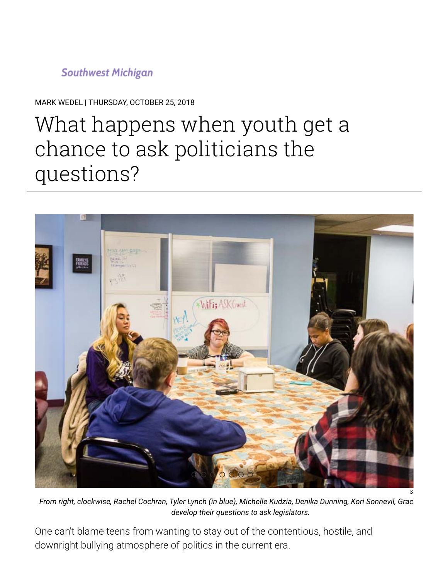# **Southwest Michigan**

MARK WEDEL | THURSDAY, OCTOBER 25, 2018

# What happens when youth get a chance to ask politicians the questions?



*From right, clockwise, Rachel Cochran, Tyler Lynch (in blue), Michelle Kudzia, Denika Dunning, Kori Sonnevil, Grac develop their questions to ask legislators.*

One can't blame teens from wanting to stay out of the contentious, hostile, and downright bullying atmosphere of politics in the current era.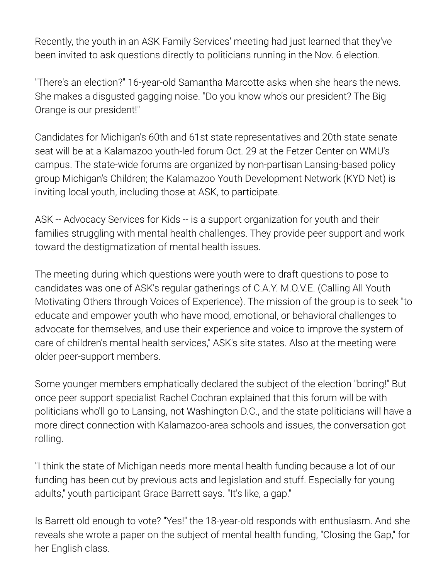Recently, the youth in an [ASK Family Services](http://www.askforkids.org/about-us/who-we-are)' meeting had just learned that they've been invited to ask questions directly to politicians running in the Nov. 6 election.

"There's an election?" 16-year-old Samantha Marcotte asks when she hears the news. She makes a disgusted gagging noise. "Do you know who's our president? The Big Orange is our president!"

Candidates for Michigan's 60th and 61st state representatives and 20th state senate seat will be at a Kalamazoo [youth-led forum](https://www.michiganschildren.org/2018-candidate-forums/%23KzooForum) Oct. 29 at the Fetzer Center on WMU's campus. The state-wide forums are organized by non-partisan Lansing-based policy group Michigan's Children; the Kalamazoo Youth Development Network (KYD Net) is inviting local youth, including those at ASK, to participate.

ASK -- Advocacy Services for Kids -- is a support organization for youth and their families struggling with mental health challenges. They provide peer support and work toward the destigmatization of mental health issues.

The meeting during which questions were youth were to draft questions to pose to candidates was one of ASK's regular gatherings of [C.A.Y. M.O.V.E.](https://www.facebook.com/CAYMOVEKalamazoo/) (Calling All Youth Motivating Others through Voices of Experience). The mission of the group is to seek "to educate and empower youth who have mood, emotional, or behavioral challenges to advocate for themselves, and use their experience and voice to improve the system of care of children's mental health services," ASK's site states. Also at the meeting were older peer-support members.

Some younger members emphatically declared the subject of the election "boring!" But once peer support specialist Rachel Cochran explained that this forum will be with politicians who'll go to Lansing, not Washington D.C., and the state politicians will have a more direct connection with Kalamazoo-area schools and issues, the conversation got rolling.

"I think the state of Michigan needs more mental health funding because a lot of our funding has been cut by previous acts and legislation and stuff. Especially for young adults," youth participant Grace Barrett says. "It's like, a gap."

Is Barrett old enough to vote? "Yes!" the 18-year-old responds with enthusiasm. And she reveals she wrote a paper on the subject of mental health funding, "Closing the Gap," for her English class.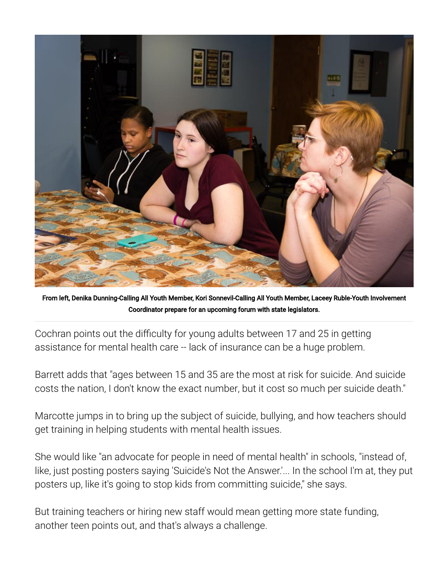

From left, Denika Dunning-Calling All Youth Member, Kori Sonnevil-Calling All Youth Member, Laceey Ruble-Youth Involvement Coordinator prepare for an upcoming forum with state legislators.

Cochran points out the difficulty for young adults between 17 and 25 in getting assistance for mental health care -- lack of insurance can be a huge problem.

Barrett adds that "ages between 15 and 35 are the most at risk for suicide. And suicide costs the nation, I don't know [the exact number](https://www.sprc.org/about-suicide/costs), but it cost so much per suicide death."

Marcotte jumps in to bring up the subject of suicide, bullying, and how teachers should get training in helping students with mental health issues.

She would like "an advocate for people in need of mental health" in schools, "instead of, like, just posting posters saying 'Suicide's Not the Answer.'... In the school I'm at, they put posters up, like it's going to stop kids from committing suicide," she says.

But training teachers or hiring new staff would mean getting more state funding, another teen points out, and that's always a challenge.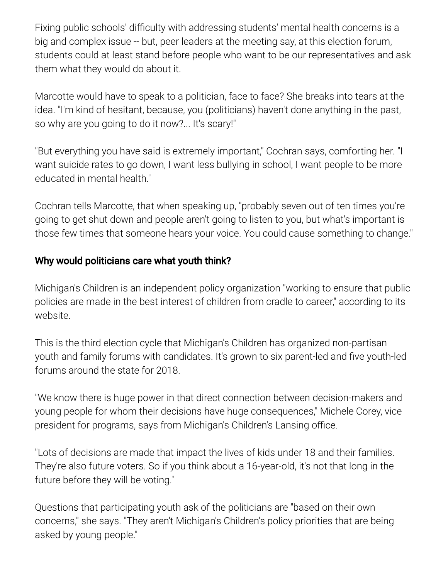Fixing public schools' difficulty with addressing students' mental health concerns is a big and complex issue -- but, peer leaders at the meeting say, at this election forum, students could at least stand before people who want to be our representatives and ask them what they would do about it.

Marcotte would have to speak to a politician, face to face? She breaks into tears at the idea. "I'm kind of hesitant, because, you (politicians) haven't done anything in the past, so why are you going to do it now?... It's scary!"

"But everything you have said is extremely important," Cochran says, comforting her. "I want suicide rates to go down, I want less bullying in school, I want people to be more educated in mental health."

Cochran tells Marcotte, that when speaking up, "probably seven out of ten times you're going to get shut down and people aren't going to listen to you, but what's important is those few times that someone hears your voice. You could cause something to change."

### Why would politicians care what youth think?

Michigan's Children is an independent policy organization "working to ensure that public policies are made in the best interest of children from cradle to career," according to its [website.](https://www.michiganschildren.org/how-we-work/)

This is the third election cycle that Michigan's Children has organized non-partisan youth and family forums with candidates. It's grown to six parent-led and five youth-led forums around the state for 2018.

"We know there is huge power in that direct connection between decision-makers and young people for whom their decisions have huge consequences," Michele Corey, vice president for programs, says from Michigan's Children's Lansing office.

"Lots of decisions are made that impact the lives of kids under 18 and their families. They're also future voters. So if you think about a 16-year-old, it's not that long in the future before they will be voting."

Questions that participating youth ask of the politicians are "based on their own concerns," she says. "They aren't Michigan's Children's policy priorities that are being asked by young people."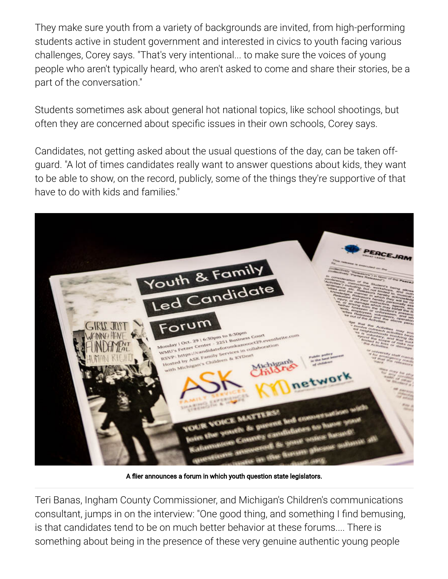They make sure youth from a variety of backgrounds are invited, from high-performing students active in student government and interested in civics to youth facing various challenges, Corey says. "That's very intentional... to make sure the voices of young people who aren't typically heard, who aren't asked to come and share their stories, be a part of the conversation."

Students sometimes ask about general hot national topics, like school shootings, but often they are concerned about specific issues in their own schools, Corey says.

Candidates, not getting asked about the usual questions of the day, can be taken offguard. "A lot of times candidates really want to answer questions about kids, they want to be able to show, on the record, publicly, some of the things they're supportive of that have to do with kids and families."



A flier announces a forum in which youth question state legislators.

Teri Banas, Ingham County Commissioner, and Michigan's Children's communications consultant, jumps in on the interview: "One good thing, and something I find bemusing, is that candidates tend to be on much better behavior at these forums.... There is something about being in the presence of these very genuine authentic young people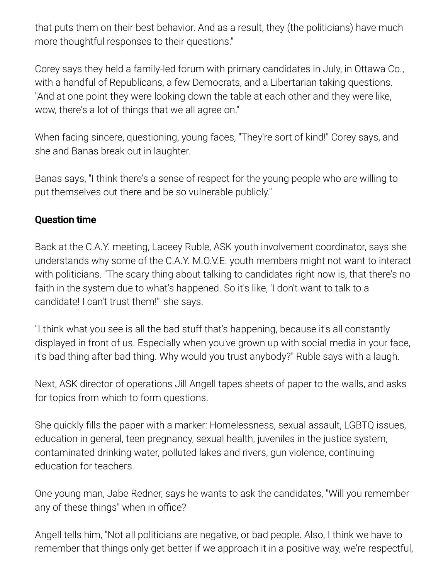that puts them on their best behavior. And as a result, they (the politicians) have much more thoughtful responses to their questions."

Corey says they held a family-led forum with primary candidates in July, in Ottawa Co., with a handful of Republicans, a few Democrats, and a Libertarian taking questions. "And at one point they were looking down the table at each other and they were like, wow, there's a lot of things that we all agree on."

When facing sincere, questioning, young faces, "They're sort of kind!" Corey says, and she and Banas break out in laughter.

Banas says, "I think there's a sense of respect for the young people who are willing to put themselves out there and be so vulnerable publicly."

#### Question time

Back at the C.A.Y. meeting, Laceey Ruble, ASK youth involvement coordinator, says she understands why some of the C.A.Y. M.O.V.E. youth members might not want to interact with politicians. "The scary thing about talking to candidates right now is, that there's no faith in the system due to what's happened. So it's like, 'I don't want to talk to a candidate! I can't trust them!'" she says.

"I think what you see is all the bad stuff that's happening, because it's all constantly displayed in front of us. Especially when you've grown up with social media in your face, it's bad thing after bad thing. Why would you trust anybody?" Ruble says with a laugh.

Next, ASK director of operations Jill Angell tapes sheets of paper to the walls, and asks for topics from which to form questions.

She quickly fills the paper with a marker: Homelessness, sexual assault, LGBTQ issues, education in general, teen pregnancy, sexual health, juveniles in the justice system, contaminated drinking water, polluted lakes and rivers, gun violence, continuing education for teachers.

One young man, Jabe Redner, says he wants to ask the candidates, "Will you remember any of these things" when in office?

Angell tells him, "Not all politicians are negative, or bad people. Also, I think we have to remember that things only get better if we approach it in a positive way, we're respectful,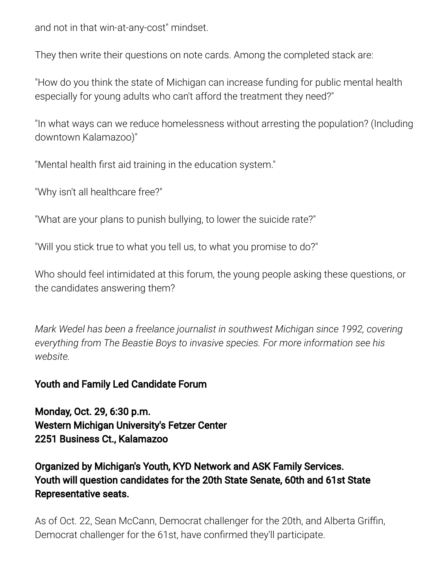and not in that win-at-any-cost" mindset.

They then write their questions on note cards. Among the completed stack are:

"How do you think the state of Michigan can increase funding for public mental health especially for young adults who can't afford the treatment they need?"

"In what ways can we reduce homelessness without arresting the population? (Including downtown Kalamazoo)"

"Mental health first aid training in the education system."

"Why isn't all healthcare free?"

"What are your plans to punish bullying, to lower the suicide rate?"

"Will you stick true to what you tell us, to what you promise to do?"

Who should feel intimidated at this forum, the young people asking these questions, or the candidates answering them?

*Mark Wedel has been a freelance journalist in southwest Michigan since 1992, covering [everything from The Beastie Boys to invasive species. For more information see his](http://http//www.markswedel.com%C2%A0) website.*

### [Youth and Family Led Candidate Forum](https://www.eventbrite.com/e/family-and-youth-led-candidate-forum-tickets-51330149860)

Monday, Oct. 29, 6:30 p.m. Western Michigan University's Fetzer Center 2251 Business Ct., Kalamazoo

## Organized by Michigan's Youth, KYD Network and ASK Family Services. Youth will question candidates for the 20th State Senate, 60th and 61st State Representative seats.

As of Oct. 22, Sean McCann, Democrat challenger for the 20th, and Alberta Griffin, Democrat challenger for the 61st, have confirmed they'll participate.